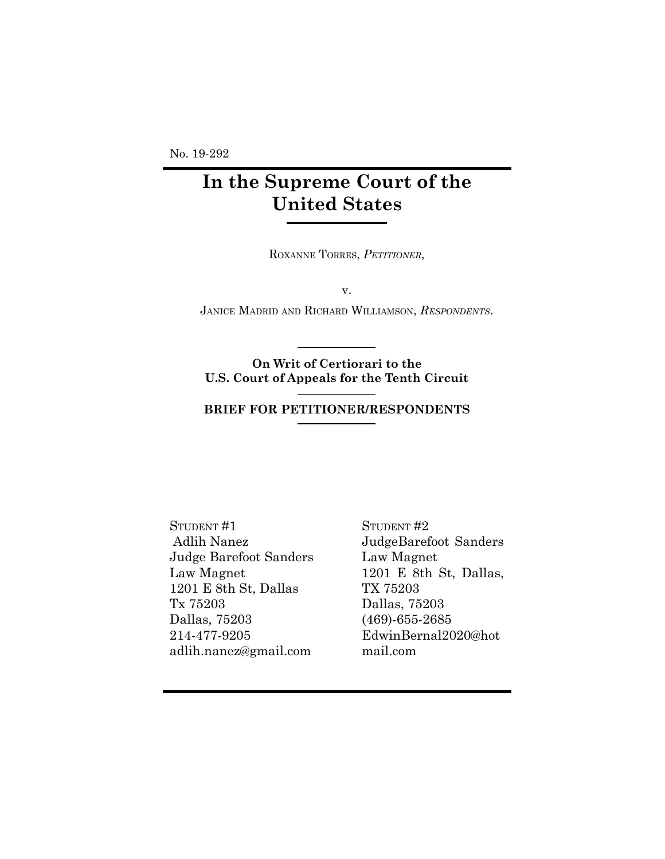No. 19-292

# **In the Supreme Court of the United States**

ROXANNE TORRES, *PETITIONER*,

v.

JANICE MADRID AND RICHARD WILLIAMSON, *RESPONDENTS*.

**On Writ of Certiorari to the U.S. Court of Appeals for the Tenth Circuit**

#### **BRIEF FOR PETITIONER/RESPONDENTS**

STUDENT #1 Adlih Nanez Judge Barefoot Sanders Law Magnet 1201 E 8th St, Dallas Tx 75203 Dallas, 75203 214-477-9205 adlih.nanez@gmail.com

STUDENT #2 JudgeBarefoot Sanders Law Magnet 1201 E 8th St, Dallas, TX 75203 Dallas, 75203 (469)-655-2685 EdwinBernal2020@hot mail.com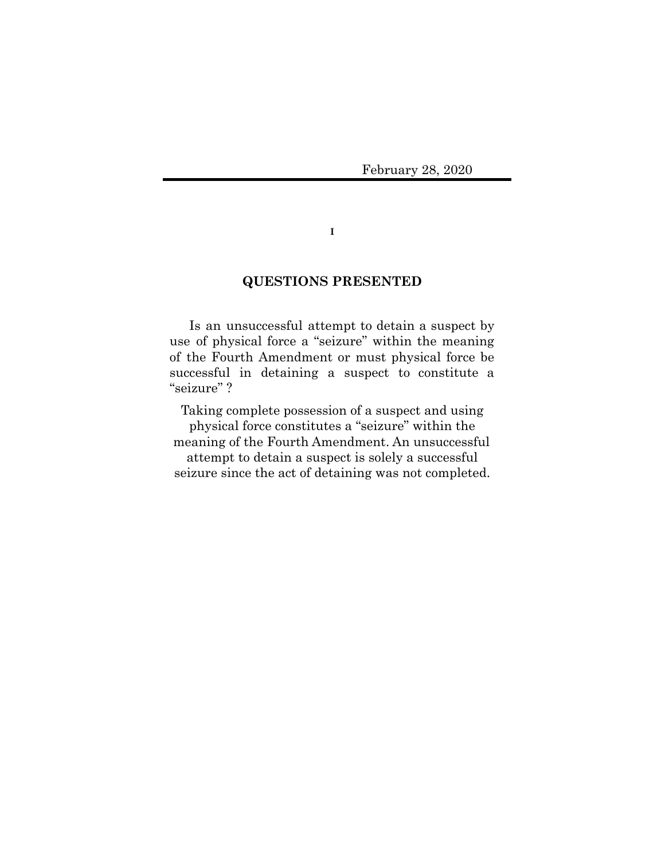February 28, 2020

**I**

## **QUESTIONS PRESENTED**

Is an unsuccessful attempt to detain a suspect by use of physical force a "seizure" within the meaning of the Fourth Amendment or must physical force be successful in detaining a suspect to constitute a "seizure" ?

Taking complete possession of a suspect and using physical force constitutes a "seizure" within the meaning of the Fourth Amendment. An unsuccessful attempt to detain a suspect is solely a successful seizure since the act of detaining was not completed.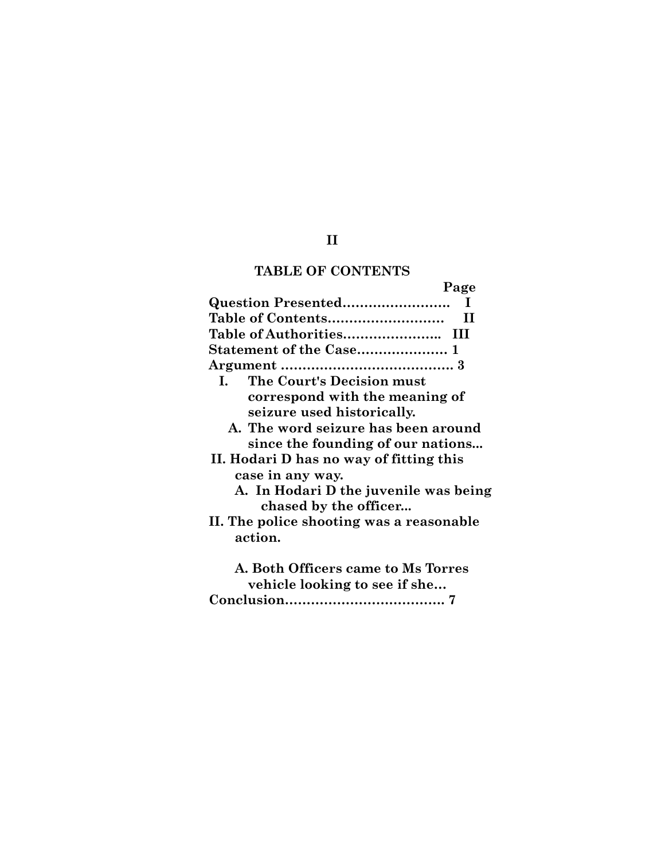## **TABLE OF CONTENTS**

**Page**

| Question Presented<br>T                   |
|-------------------------------------------|
| Table of Contents<br>П                    |
|                                           |
|                                           |
|                                           |
| The Court's Decision must<br>$\mathbf{L}$ |
| correspond with the meaning of            |
| seizure used historically.                |
| A. The word seizure has been around       |
| since the founding of our nations         |
| II. Hodari D has no way of fitting this   |
| case in any way.                          |
| A. In Hodari D the juvenile was being     |
| chased by the officer                     |
| II. The police shooting was a reasonable  |
| action.                                   |
| A. Both Officers came to Ms Torres        |
| vehicle looking to see if she             |
|                                           |
|                                           |

**II**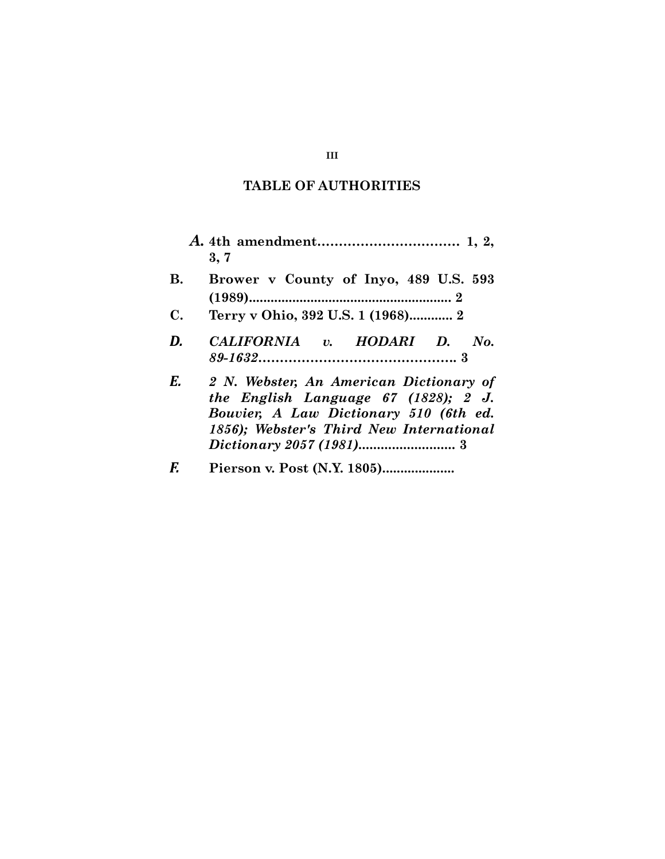## **TABLE OF AUTHORITIES**

|                | 3, 7                                                                                                                                                                  |
|----------------|-----------------------------------------------------------------------------------------------------------------------------------------------------------------------|
| <b>B.</b>      | Brower v County of Inyo, 489 U.S. 593                                                                                                                                 |
| $\mathbf{C}$ . | Terry v Ohio, 392 U.S. 1 (1968) 2                                                                                                                                     |
| D.             | CALIFORNIA v. HODARI D. No.                                                                                                                                           |
| E.             | 2 N. Webster, An American Dictionary of<br>the English Language 67 (1828); 2 J.<br>Bouvier, A Law Dictionary 510 (6th ed.<br>1856); Webster's Third New International |
| F.             |                                                                                                                                                                       |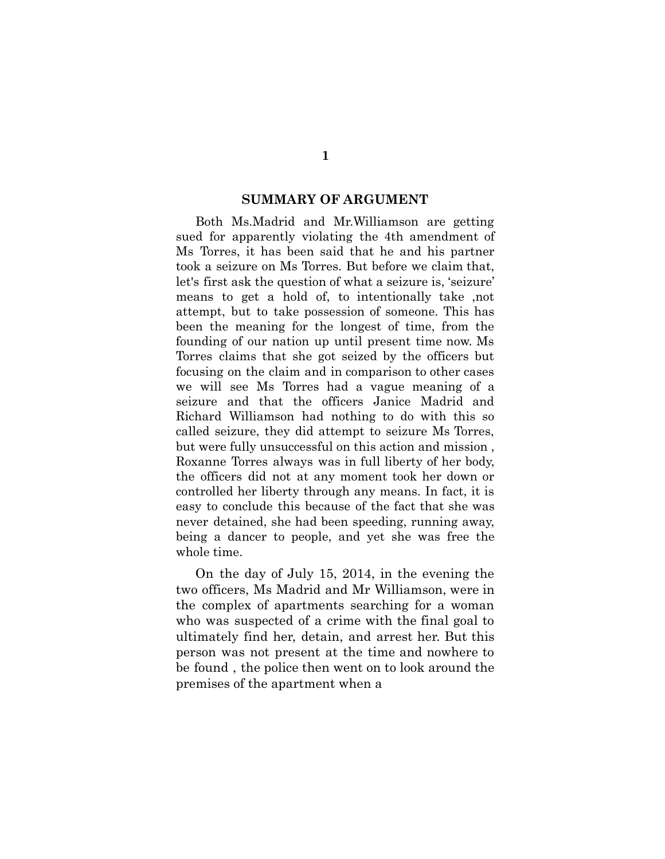#### **SUMMARY OF ARGUMENT**

Both Ms.Madrid and Mr.Williamson are getting sued for apparently violating the 4th amendment of Ms Torres, it has been said that he and his partner took a seizure on Ms Torres. But before we claim that, let's first ask the question of what a seizure is, 'seizure' means to get a hold of, to intentionally take ,not attempt, but to take possession of someone. This has been the meaning for the longest of time, from the founding of our nation up until present time now. Ms Torres claims that she got seized by the officers but focusing on the claim and in comparison to other cases we will see Ms Torres had a vague meaning of a seizure and that the officers Janice Madrid and Richard Williamson had nothing to do with this so called seizure, they did attempt to seizure Ms Torres, but were fully unsuccessful on this action and mission , Roxanne Torres always was in full liberty of her body, the officers did not at any moment took her down or controlled her liberty through any means. In fact, it is easy to conclude this because of the fact that she was never detained, she had been speeding, running away, being a dancer to people, and yet she was free the whole time.

On the day of July 15, 2014, in the evening the two officers, Ms Madrid and Mr Williamson, were in the complex of apartments searching for a woman who was suspected of a crime with the final goal to ultimately find her, detain, and arrest her. But this person was not present at the time and nowhere to be found , the police then went on to look around the premises of the apartment when a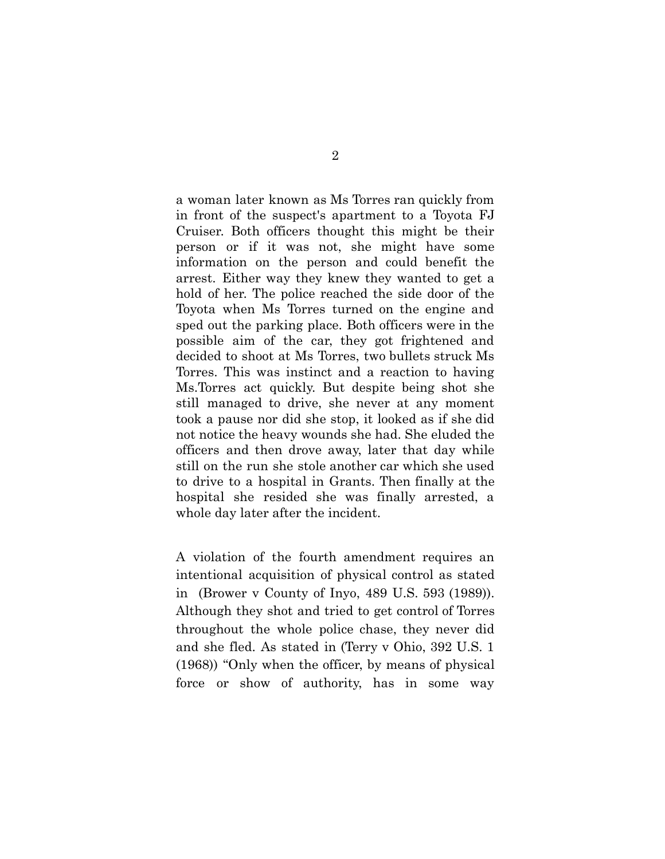a woman later known as Ms Torres ran quickly from in front of the suspect's apartment to a Toyota FJ Cruiser. Both officers thought this might be their person or if it was not, she might have some information on the person and could benefit the arrest. Either way they knew they wanted to get a hold of her. The police reached the side door of the Toyota when Ms Torres turned on the engine and sped out the parking place. Both officers were in the possible aim of the car, they got frightened and decided to shoot at Ms Torres, two bullets struck Ms Torres. This was instinct and a reaction to having Ms.Torres act quickly. But despite being shot she still managed to drive, she never at any moment took a pause nor did she stop, it looked as if she did not notice the heavy wounds she had. She eluded the officers and then drove away, later that day while still on the run she stole another car which she used to drive to a hospital in Grants. Then finally at the hospital she resided she was finally arrested, a whole day later after the incident.

A violation of the fourth amendment requires an intentional acquisition of physical control as stated in (Brower v County of Inyo, 489 U.S. 593 (1989)). Although they shot and tried to get control of Torres throughout the whole police chase, they never did and she fled. As stated in (Terry v Ohio, 392 U.S. 1 (1968)) "Only when the officer, by means of physical force or show of authority, has in some way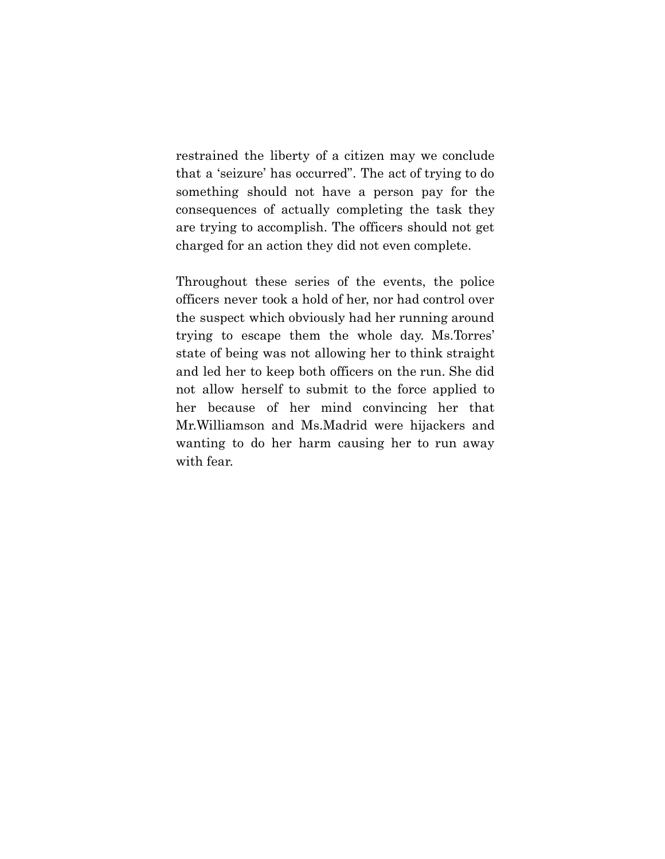restrained the liberty of a citizen may we conclude that a 'seizure' has occurred". The act of trying to do something should not have a person pay for the consequences of actually completing the task they are trying to accomplish. The officers should not get charged for an action they did not even complete.

Throughout these series of the events, the police officers never took a hold of her, nor had control over the suspect which obviously had her running around trying to escape them the whole day. Ms.Torres' state of being was not allowing her to think straight and led her to keep both officers on the run. She did not allow herself to submit to the force applied to her because of her mind convincing her that Mr.Williamson and Ms.Madrid were hijackers and wanting to do her harm causing her to run away with fear.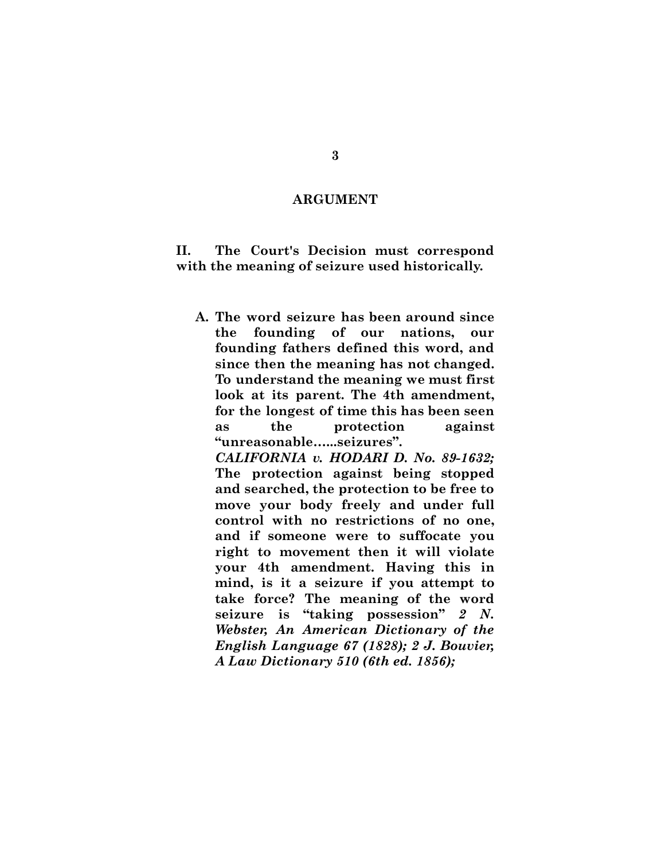#### **ARGUMENT**

**II. The Court's Decision must correspond with the meaning of seizure used historically.**

**A. The word seizure has been around since the founding of our nations, our founding fathers defined this word, and since then the meaning has not changed. To understand the meaning we must first look at its parent. The 4th amendment, for the longest of time this has been seen as the protection against "unreasonable…...seizures".**

*CALIFORNIA v. HODARI D. No. 89-1632;* **The protection against being stopped and searched, the protection to be free to move your body freely and under full control with no restrictions of no one, and if someone were to suffocate you right to movement then it will violate your 4th amendment. Having this in mind, is it a seizure if you attempt to take force? The meaning of the word seizure is "taking possession"** *2 N. Webster, An American Dictionary of the English Language 67 (1828); 2 J. Bouvier, A Law Dictionary 510 (6th ed. 1856);*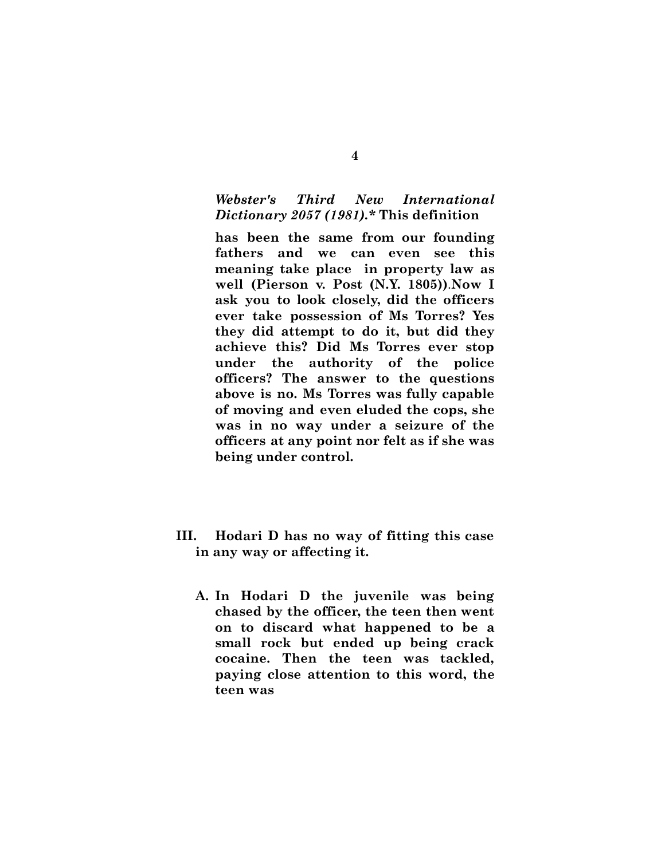## *Webster's Third New International Dictionary 2057 (1981).\** **This definition**

**has been the same from our founding fathers and we can even see this meaning take place in property law as well (Pierson v. Post (N.Y. 1805))**.**Now I ask you to look closely, did the officers ever take possession of Ms Torres? Yes they did attempt to do it, but did they achieve this? Did Ms Torres ever stop under the authority of the police officers? The answer to the questions above is no. Ms Torres was fully capable of moving and even eluded the cops, she was in no way under a seizure of the officers at any point nor felt as if she was being under control.**

- **III. Hodari D has no way of fitting this case in any way or affecting it.**
	- **A. In Hodari D the juvenile was being chased by the officer, the teen then went on to discard what happened to be a small rock but ended up being crack cocaine. Then the teen was tackled, paying close attention to this word, the teen was**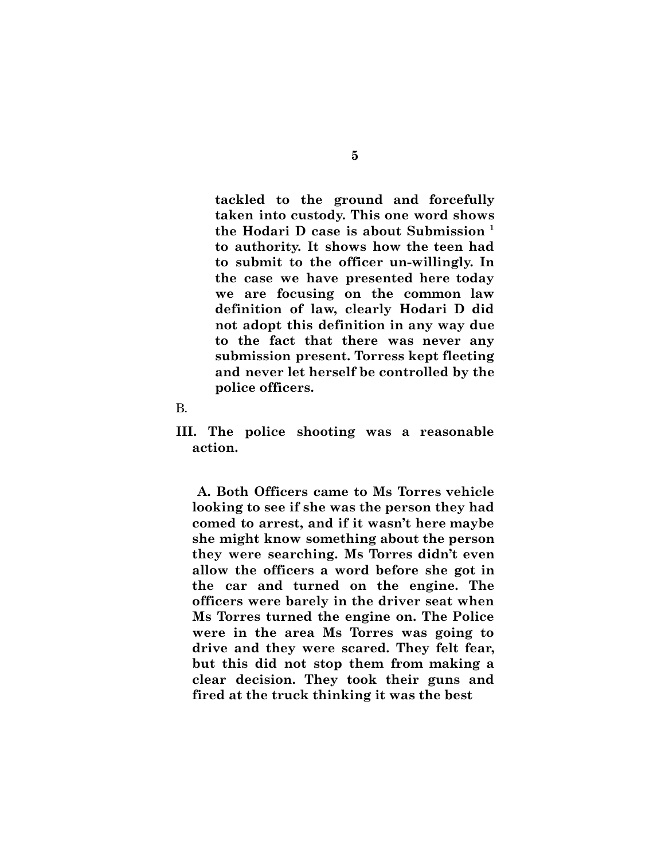**tackled to the ground and forcefully taken into custody. This one word shows the Hodari D case is about Submission <sup>1</sup> to authority. It shows how the teen had to submit to the officer un-willingly. In the case we have presented here today we are focusing on the common law definition of law, clearly Hodari D did not adopt this definition in any way due to the fact that there was never any submission present. Torress kept fleeting and never let herself be controlled by the police officers.**

- B.
- **III. The police shooting was a reasonable action.**

**A. Both Officers came to Ms Torres vehicle looking to see if she was the person they had comed to arrest, and if it wasn't here maybe she might know something about the person they were searching. Ms Torres didn't even allow the officers a word before she got in the car and turned on the engine. The officers were barely in the driver seat when Ms Torres turned the engine on. The Police were in the area Ms Torres was going to drive and they were scared. They felt fear, but this did not stop them from making a clear decision. They took their guns and fired at the truck thinking it was the best**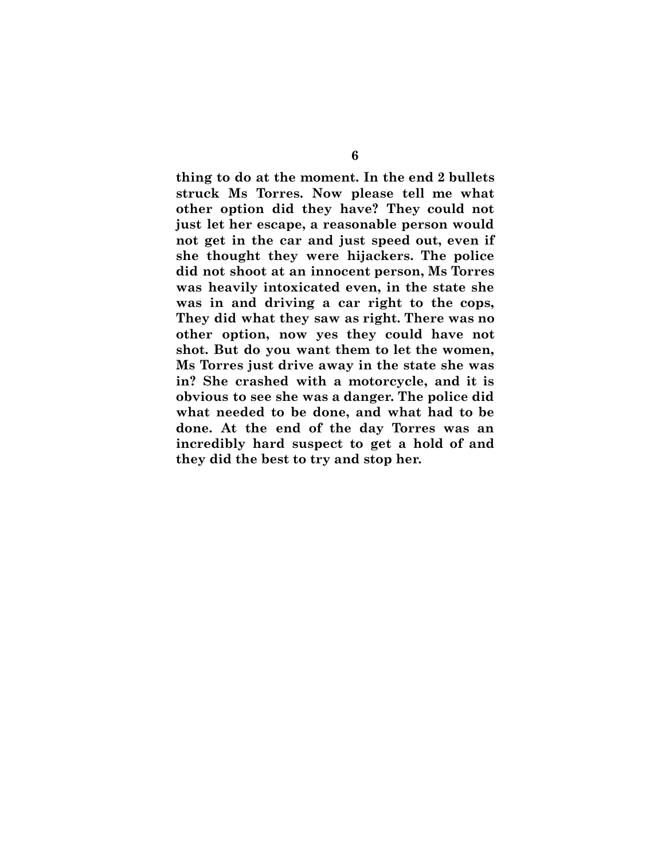**thing to do at the moment. In the end 2 bullets struck Ms Torres. Now please tell me what other option did they have? They could not just let her escape, a reasonable person would not get in the car and just speed out, even if she thought they were hijackers. The police did not shoot at an innocent person, Ms Torres was heavily intoxicated even, in the state she was in and driving a car right to the cops, They did what they saw as right. There was no other option, now yes they could have not shot. But do you want them to let the women, Ms Torres just drive away in the state she was in? She crashed with a motorcycle, and it is obvious to see she was a danger. The police did what needed to be done, and what had to be done. At the end of the day Torres was an incredibly hard suspect to get a hold of and they did the best to try and stop her.**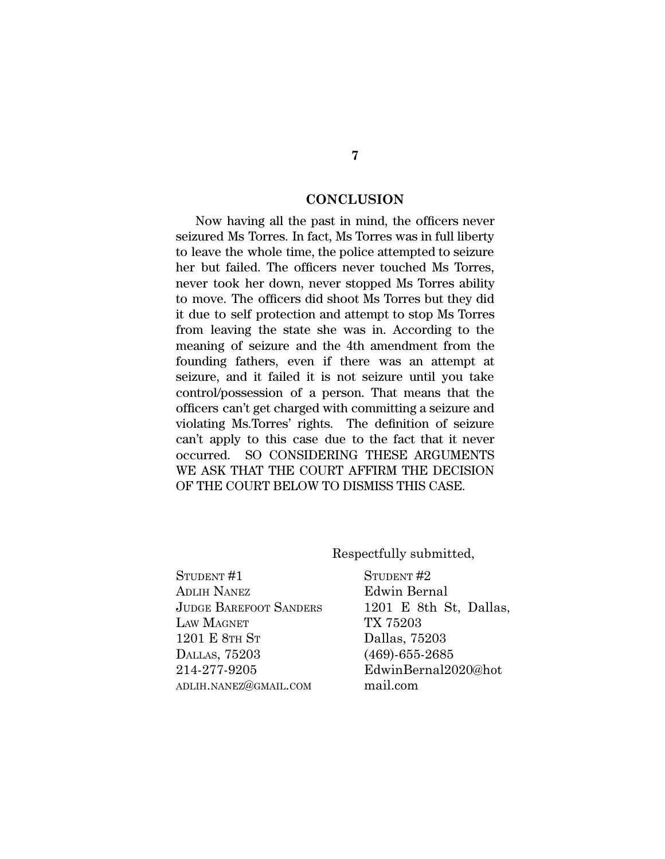### **CONCLUSION**

Now having all the past in mind, the officers never seizured Ms Torres. In fact, Ms Torres was in full liberty to leave the whole time, the police attempted to seizure her but failed. The officers never touched Ms Torres, never took her down, never stopped Ms Torres ability to move. The officers did shoot Ms Torres but they did it due to self protection and attempt to stop Ms Torres from leaving the state she was in. According to the meaning of seizure and the 4th amendment from the founding fathers, even if there was an attempt at seizure, and it failed it is not seizure until you take control/possession of a person. That means that the officers can't get charged with committing a seizure and violating Ms.Torres' rights. The definition of seizure can't apply to this case due to the fact that it never occurred. SO CONSIDERING THESE ARGUMENTS WE ASK THAT THE COURT AFFIRM THE DECISION OF THE COURT BELOW TO DISMISS THIS CASE.

Respectfully submitted,

STUDENT #1 ADLIH NANEZ JUDGE BAREFOOT SANDERS LAW MAGNET 1201 E 8TH S<sup>T</sup> DALLAS, 75203 214-277-9205 ADLIH.NANEZ@GMAIL.COM

STUDENT<sub>#2</sub> Edwin Bernal 1201 E 8th St, Dallas, TX 75203 Dallas, 75203 (469)-655-2685 EdwinBernal2020@hot mail.com